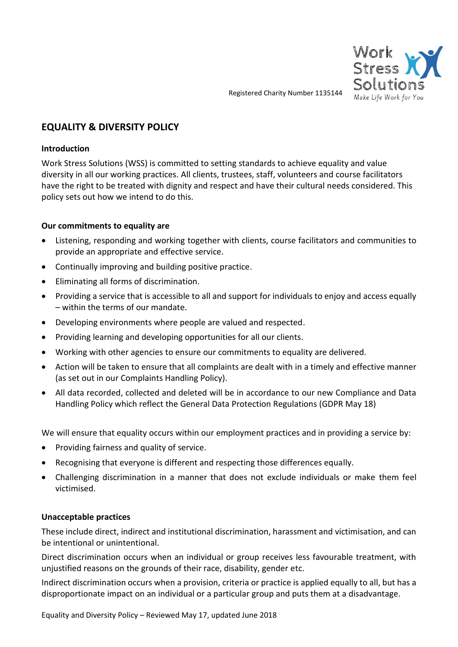

Registered Charity Number 1135144

# **EQUALITY & DIVERSITY POLICY**

### **Introduction**

Work Stress Solutions (WSS) is committed to setting standards to achieve equality and value diversity in all our working practices. All clients, trustees, staff, volunteers and course facilitators have the right to be treated with dignity and respect and have their cultural needs considered. This policy sets out how we intend to do this.

## **Our commitments to equality are**

- Listening, responding and working together with clients, course facilitators and communities to provide an appropriate and effective service.
- Continually improving and building positive practice.
- Eliminating all forms of discrimination.
- Providing a service that is accessible to all and support for individuals to enjoy and access equally – within the terms of our mandate.
- Developing environments where people are valued and respected.
- Providing learning and developing opportunities for all our clients.
- Working with other agencies to ensure our commitments to equality are delivered.
- Action will be taken to ensure that all complaints are dealt with in a timely and effective manner (as set out in our Complaints Handling Policy).
- All data recorded, collected and deleted will be in accordance to our new Compliance and Data Handling Policy which reflect the General Data Protection Regulations (GDPR May 18)

We will ensure that equality occurs within our employment practices and in providing a service by:

- Providing fairness and quality of service.
- Recognising that everyone is different and respecting those differences equally.
- Challenging discrimination in a manner that does not exclude individuals or make them feel victimised.

#### **Unacceptable practices**

These include direct, indirect and institutional discrimination, harassment and victimisation, and can be intentional or unintentional.

Direct discrimination occurs when an individual or group receives less favourable treatment, with unjustified reasons on the grounds of their race, disability, gender etc.

Indirect discrimination occurs when a provision, criteria or practice is applied equally to all, but has a disproportionate impact on an individual or a particular group and puts them at a disadvantage.

Equality and Diversity Policy – Reviewed May 17, updated June 2018